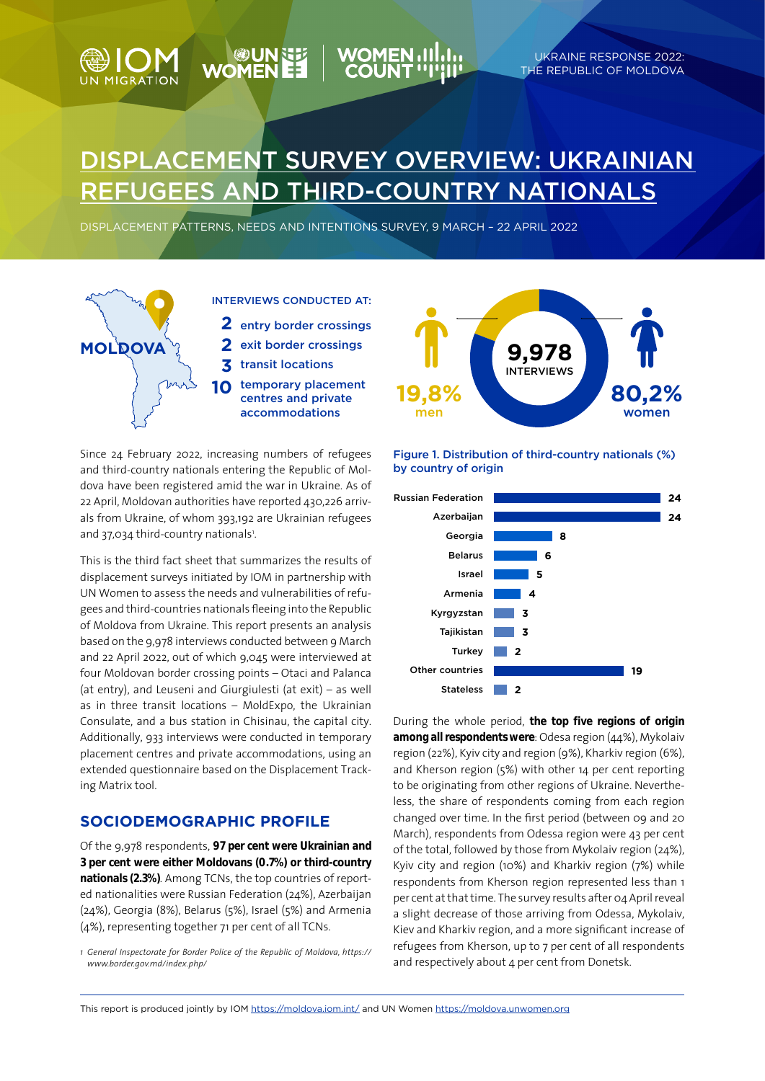

DISPLACEMENT PATTERNS, NEEDS AND INTENTIONS SURVEY, 9 MARCH – 22 APRIL 2022



**WOMEN** 

Since 24 February 2022, increasing numbers of refugees and third-country nationals entering the Republic of Moldova have been registered amid the war in Ukraine. As of 22 April, Moldovan authorities have reported 430,226 arrivals from Ukraine, of whom 393,192 are Ukrainian refugees and 37,034 third-country nationals<sup>1</sup>.

This is the third fact sheet that summarizes the results of displacement surveys initiated by IOM in partnership with UN Women to assess the needs and vulnerabilities of refugees and third-countries nationals fleeing into the Republic of Moldova from Ukraine. This report presents an analysis based on the 9,978 interviews conducted between 9 March and 22 April 2022, out of which 9,045 were interviewed at four Moldovan border crossing points – Otaci and Palanca (at entry), and Leuseni and Giurgiulesti (at exit) – as well as in three transit locations – MoldExpo, the Ukrainian Consulate, and a bus station in Chisinau, the capital city. Additionally, 933 interviews were conducted in temporary placement centres and private accommodations, using an extended questionnaire based on the Displacement Tracking Matrix tool.

### **SOCIODEMOGRAPHIC PROFILE**

Of the 9,978 respondents, **97 per cent were Ukrainian and 3 per cent were either Moldovans (0.7%) or third-country nationals (2.3%)**. Among TCNs, the top countries of reported nationalities were Russian Federation (24%), Azerbaijan (24%), Georgia (8%), Belarus (5%), Israel (5%) and Armenia (4%), representing together 71 per cent of all TCNs.



UKRAINE RESPONSE 2022: THE REPUBLIC OF MOLDOVA

Figure 1. Distribution of third-country nationals (%) by country of origin



During the whole period, **the top five regions of origin among all respondents were**: Odesa region (44%), Mykolaiv region (22%), Kyiv city and region (9%), Kharkiv region (6%), and Kherson region (5%) with other 14 per cent reporting to be originating from other regions of Ukraine. Nevertheless, the share of respondents coming from each region changed over time. In the first period (between 09 and 20 March), respondents from Odessa region were 43 per cent of the total, followed by those from Mykolaiv region (24%), Kyiv city and region (10%) and Kharkiv region (7%) while respondents from Kherson region represented less than 1 per cent at that time. The survey results after 04 April reveal a slight decrease of those arriving from Odessa, Mykolaiv, Kiev and Kharkiv region, and a more significant increase of refugees from Kherson, up to 7 per cent of all respondents

and respectively about 4 per cent from Donetsk. *<sup>1</sup> General Inspectorate for Border Police of the Republic of Moldova, https:// www.border.gov.md/index.php/*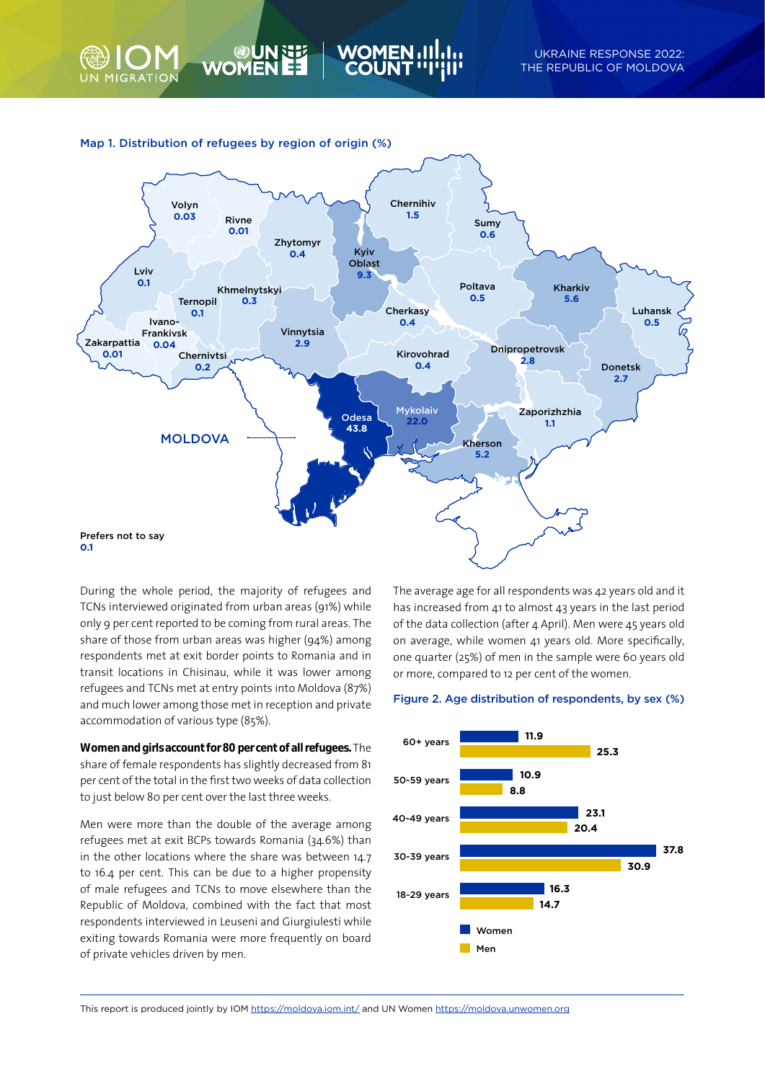



WOME

During the whole period, the majority of refugees and TCNs interviewed originated from urban areas (91%) while only 9 per cent reported to be coming from rural areas. The share of those from urban areas was higher (94%) among respondents met at exit border points to Romania and in transit locations in Chisinau, while it was lower among refugees and TCNs met at entry points into Moldova (87%) and much lower among those met in reception and private accommodation of various type (85%).

**Women and girls account for 80 per cent of all refugees.** The share of female respondents has slightly decreased from 81 per cent of the total in the first two weeks of data collection to just below 80 per cent over the last three weeks.

Men were more than the double of the average among refugees met at exit BCPs towards Romania (34.6%) than in the other locations where the share was between 14.7 to 16.4 per cent. This can be due to a higher propensity of male refugees and TCNs to move elsewhere than the Republic of Moldova, combined with the fact that most respondents interviewed in Leuseni and Giurgiulesti while exiting towards Romania were more frequently on board of private vehicles driven by men.

The average age for all respondents was 42 years old and it has increased from 41 to almost 43 years in the last period of the data collection (after 4 April). Men were 45 years old on average, while women 41 years old. More specifically, one quarter (25%) of men in the sample were 60 years old or more, compared to 12 per cent of the women.

#### Figure 2. Age distribution of respondents, by sex (%)



This report is produced jointly by IOM https://moldova.iom.int/ and UN Women https://moldova.unwomen.org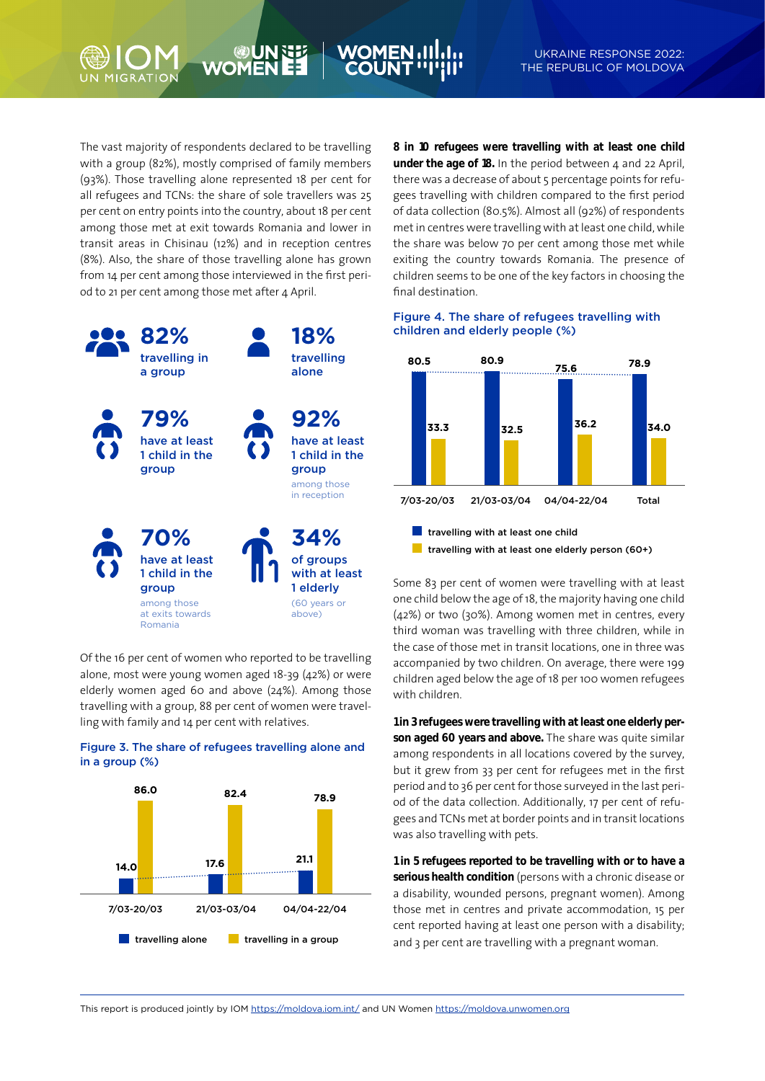The vast majority of respondents declared to be travelling with a group (82%), mostly comprised of family members (93%). Those travelling alone represented 18 per cent for all refugees and TCNs: the share of sole travellers was 25 per cent on entry points into the country, about 18 per cent among those met at exit towards Romania and lower in transit areas in Chisinau (12%) and in reception centres (8%). Also, the share of those travelling alone has grown from 14 per cent among those interviewed in the first period to 21 per cent among those met after 4 April.

**WOME** 



Of the 16 per cent of women who reported to be travelling alone, most were young women aged 18-39 (42%) or were elderly women aged 60 and above (24%). Among those travelling with a group, 88 per cent of women were travelling with family and 14 per cent with relatives.





**8 in 10 refugees were travelling with at least one child under the age of 18.** In the period between 4 and 22 April, there was a decrease of about 5 percentage points for refugees travelling with children compared to the first period of data collection (80.5%). Almost all (92%) of respondents met in centres were travelling with at least one child, while the share was below 70 per cent among those met while exiting the country towards Romania. The presence of children seems to be one of the key factors in choosing the final destination.

#### Figure 4. The share of refugees travelling with children and elderly people (%)



Some 83 per cent of women were travelling with at least one child below the age of 18, the majority having one child (42%) or two (30%). Among women met in centres, every third woman was travelling with three children, while in the case of those met in transit locations, one in three was accompanied by two children. On average, there were 199 children aged below the age of 18 per 100 women refugees with children.

**1 in 3 refugees were travelling with at least one elderly person aged 60 years and above.** The share was quite similar among respondents in all locations covered by the survey, but it grew from 33 per cent for refugees met in the first period and to 36 per cent for those surveyed in the last period of the data collection. Additionally, 17 per cent of refugees and TCNs met at border points and in transit locations was also travelling with pets.

**1 in 5 refugees reported to be travelling with or to have a serious health condition** (persons with a chronic disease or a disability, wounded persons, pregnant women). Among those met in centres and private accommodation, 15 per cent reported having at least one person with a disability; and 3 per cent are travelling with a pregnant woman.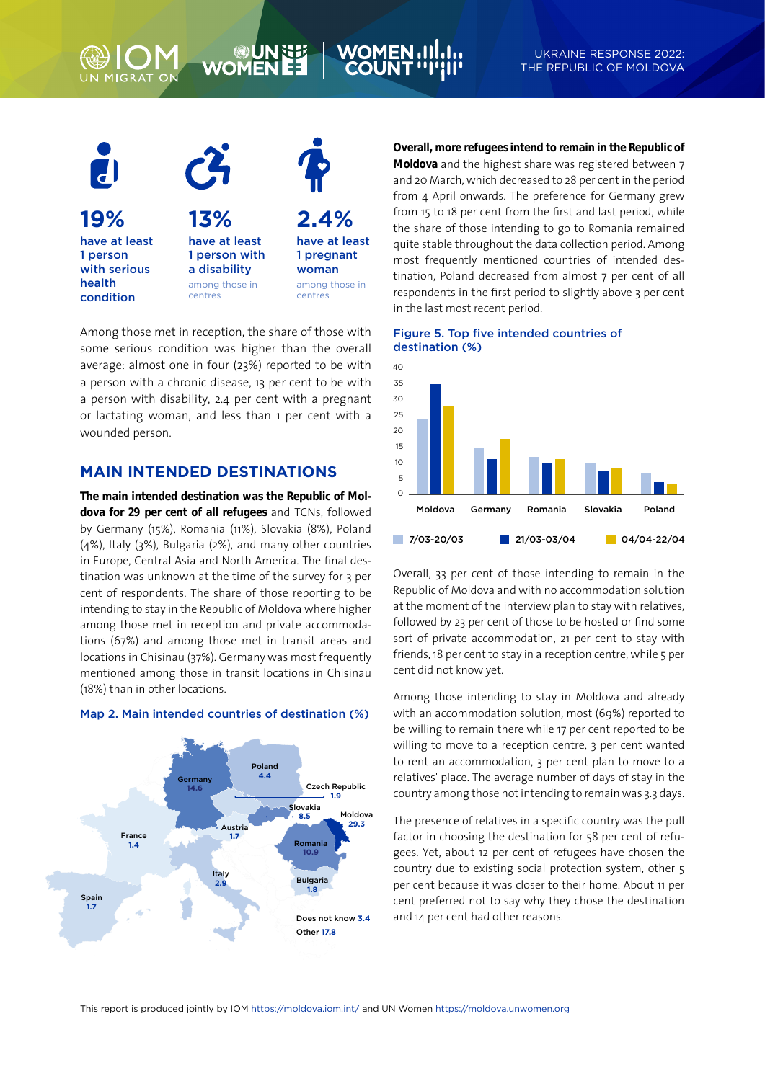# **WOME**



Among those met in reception, the share of those with some serious condition was higher than the overall average: almost one in four (23%) reported to be with a person with a chronic disease, 13 per cent to be with a person with disability, 2.4 per cent with a pregnant or lactating woman, and less than 1 per cent with a wounded person.

# **MAIN INTENDED DESTINATIONS**

**The main intended destination was the Republic of Moldova for 29 per cent of all refugees** and TCNs, followed by Germany (15%), Romania (11%), Slovakia (8%), Poland (4%), Italy (3%), Bulgaria (2%), and many other countries in Europe, Central Asia and North America. The final destination was unknown at the time of the survey for 3 per cent of respondents. The share of those reporting to be intending to stay in the Republic of Moldova where higher among those met in reception and private accommodations (67%) and among those met in transit areas and locations in Chisinau (37%). Germany was most frequently mentioned among those in transit locations in Chisinau (18%) than in other locations.

## Map 2. Main intended countries of destination (%)



**Overall, more refugees intend to remain in the Republic of** 

**Moldova** and the highest share was registered between 7 and 20 March, which decreased to 28 per cent in the period from 4 April onwards. The preference for Germany grew from 15 to 18 per cent from the first and last period, while the share of those intending to go to Romania remained quite stable throughout the data collection period. Among most frequently mentioned countries of intended destination, Poland decreased from almost 7 per cent of all respondents in the first period to slightly above 3 per cent in the last most recent period.





Overall, 33 per cent of those intending to remain in the Republic of Moldova and with no accommodation solution at the moment of the interview plan to stay with relatives, followed by 23 per cent of those to be hosted or find some sort of private accommodation, 21 per cent to stay with friends, 18 per cent to stay in a reception centre, while 5 per cent did not know yet.

Among those intending to stay in Moldova and already with an accommodation solution, most (69%) reported to be willing to remain there while 17 per cent reported to be willing to move to a reception centre, 3 per cent wanted to rent an accommodation, 3 per cent plan to move to a relatives' place. The average number of days of stay in the country among those not intending to remain was 3.3 days.

The presence of relatives in a specific country was the pull factor in choosing the destination for 58 per cent of refugees. Yet, about 12 per cent of refugees have chosen the country due to existing social protection system, other 5 per cent because it was closer to their home. About 11 per cent preferred not to say why they chose the destination and 14 per cent had other reasons.

This report is produced jointly by IOM https://moldova.iom.int/ and UN Women https://moldova.unwomen.org